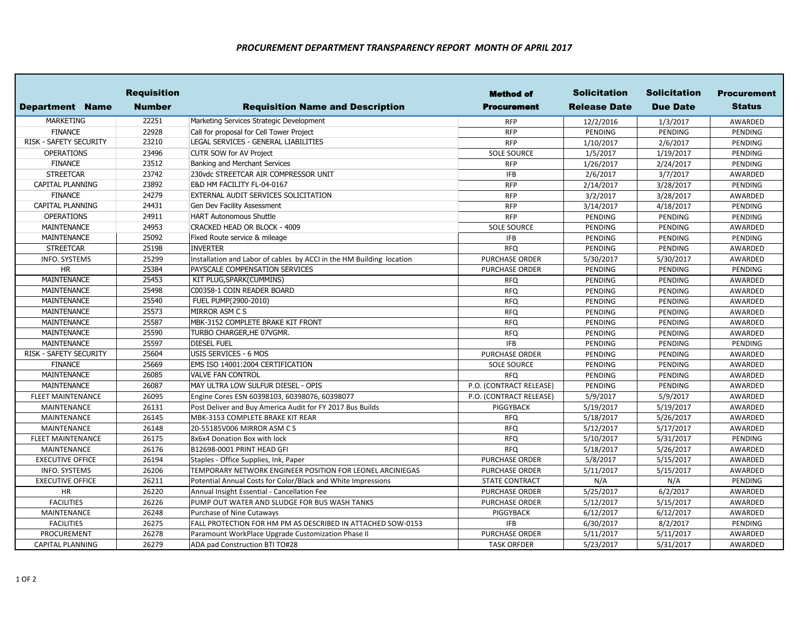## *PROCUREMENT DEPARTMENT TRANSPARENCY REPORT MONTH OF APRIL 2017*

|                          | <b>Requisition</b> |                                                                      | <b>Method of</b>        | <b>Solicitation</b> | <b>Solicitation</b> | <b>Procurement</b> |
|--------------------------|--------------------|----------------------------------------------------------------------|-------------------------|---------------------|---------------------|--------------------|
| Department Name          | <b>Number</b>      | <b>Requisition Name and Description</b>                              | <b>Procurement</b>      | <b>Release Date</b> | <b>Due Date</b>     | <b>Status</b>      |
| <b>MARKETING</b>         | 22251              | Marketing Services Strategic Development                             | <b>RFP</b>              | 12/2/2016           | 1/3/2017            | AWARDED            |
| <b>FINANCE</b>           | 22928              | Call for proposal for Cell Tower Project                             | <b>RFP</b>              | PENDING             | PENDING             | PENDING            |
| RISK - SAFETY SECURITY   | 23210              | LEGAL SERVICES - GENERAL LIABILITIES                                 | <b>RFP</b>              | 1/10/2017           | 2/6/2017            | PENDING            |
| <b>OPERATIONS</b>        | 23496              | <b>CUTR SOW for AV Project</b>                                       | <b>SOLE SOURCE</b>      | 1/5/2017            | 1/19/2017           | PENDING            |
| <b>FINANCE</b>           | 23512              | Banking and Merchant Services                                        | <b>RFP</b>              | 1/26/2017           | 2/24/2017           | <b>PENDING</b>     |
| <b>STREETCAR</b>         | 23742              | 230vdc STREETCAR AIR COMPRESSOR UNIT                                 | <b>IFB</b>              | 2/6/2017            | 3/7/2017            | AWARDED            |
| CAPITAL PLANNING         | 23892              | E&D HM FACILITY FL-04-0167                                           | <b>RFP</b>              | 2/14/2017           | 3/28/2017           | PENDING            |
| <b>FINANCE</b>           | 24279              | EXTERNAL AUDIT SERVICES SOLICITATION                                 | <b>RFP</b>              | 3/2/2017            | 3/28/2017           | AWARDED            |
| CAPITAL PLANNING         | 24431              | Gen Dev Facility Assessment                                          | <b>RFP</b>              | 3/14/2017           | 4/18/2017           | PENDING            |
| <b>OPERATIONS</b>        | 24911              | <b>HART Autonomous Shuttle</b>                                       | <b>RFP</b>              | PENDING             | <b>PENDING</b>      | PENDING            |
| <b>MAINTENANCE</b>       | 24953              | CRACKED HEAD OR BLOCK - 4009                                         | <b>SOLE SOURCE</b>      | PENDING             | <b>PENDING</b>      | AWARDED            |
| <b>MAINTENANCE</b>       | 25092              | Fixed Route service & mileage                                        | <b>IFB</b>              | PENDING             | PENDING             | PENDING            |
| <b>STREETCAR</b>         | 25198              | <b>INVERTER</b>                                                      | <b>RFQ</b>              | PENDING             | PENDING             | AWARDED            |
| <b>INFO. SYSTEMS</b>     | 25299              | Installation and Labor of cables by ACCI in the HM Building location | <b>PURCHASE ORDER</b>   | 5/30/2017           | 5/30/2017           | AWARDED            |
| <b>HR</b>                | 25384              | PAYSCALE COMPENSATION SERVICES                                       | <b>PURCHASE ORDER</b>   | PENDING             | PENDING             | PENDING            |
| MAINTENANCE              | 25453              | KIT PLUG, SPARK (CUMMINS)                                            | <b>RFQ</b>              | PENDING             | <b>PENDING</b>      | AWARDED            |
| <b>MAINTENANCE</b>       | 25498              | C00358-1 COIN READER BOARD                                           | <b>RFQ</b>              | PENDING             | PENDING             | AWARDED            |
| <b>MAINTENANCE</b>       | 25540              | FUEL PUMP(2900-2010)                                                 | <b>RFQ</b>              | PENDING             | PENDING             | AWARDED            |
| <b>MAINTENANCE</b>       | 25573              | MIRROR ASM C S                                                       | <b>RFQ</b>              | PENDING             | PENDING             | AWARDED            |
| <b>MAINTENANCE</b>       | 25587              | MBK-3152 COMPLETE BRAKE KIT FRONT                                    | <b>RFQ</b>              | PENDING             | PENDING             | AWARDED            |
| MAINTENANCE              | 25590              | TURBO CHARGER, HE 07VGMR.                                            | <b>RFQ</b>              | PENDING             | PENDING             | AWARDED            |
| <b>MAINTENANCE</b>       | 25597              | <b>DIESEL FUEL</b>                                                   | <b>IFB</b>              | PENDING             | PENDING             | PENDING            |
| RISK - SAFETY SECURITY   | 25604              | USIS SERVICES - 6 MOS                                                | <b>PURCHASE ORDER</b>   | PENDING             | <b>PENDING</b>      | AWARDED            |
| <b>FINANCE</b>           | 25669              | EMS ISO 14001:2004 CERTIFICATION                                     | <b>SOLE SOURCE</b>      | PENDING             | PENDING             | AWARDED            |
| <b>MAINTENANCE</b>       | 26085              | <b>VALVE FAN CONTROL</b>                                             | <b>RFQ</b>              | PENDING             | PENDING             | AWARDED            |
| <b>MAINTENANCE</b>       | 26087              | MAY ULTRA LOW SULFUR DIESEL - OPIS                                   | P.O. (CONTRACT RELEASE) | PENDING             | <b>PENDING</b>      | AWARDED            |
| <b>FLEET MAINTENANCE</b> | 26095              | Engine Cores ESN 60398103, 60398076, 60398077                        | P.O. (CONTRACT RELEASE) | 5/9/2017            | 5/9/2017            | AWARDED            |
| <b>MAINTENANCE</b>       | 26131              | Post Deliver and Buy America Audit for FY 2017 Bus Builds            | PIGGYBACK               | 5/19/2017           | 5/19/2017           | AWARDED            |
| <b>MAINTENANCE</b>       | 26145              | MBK-3153 COMPLETE BRAKE KIT REAR                                     | <b>RFQ</b>              | 5/18/2017           | 5/26/2017           | AWARDED            |
| MAINTENANCE              | 26148              | 20-55185V006 MIRROR ASM CS                                           | <b>RFQ</b>              | 5/12/2017           | 5/17/2017           | AWARDED            |
| <b>FLEET MAINTENANCE</b> | 26175              | 8x6x4 Donation Box with lock                                         | <b>RFQ</b>              | 5/10/2017           | 5/31/2017           | PENDING            |
| <b>MAINTENANCE</b>       | 26176              | B12698-0001 PRINT HEAD GFI                                           | <b>RFQ</b>              | 5/18/2017           | 5/26/2017           | AWARDED            |
| <b>EXECUTIVE OFFICE</b>  | 26194              | Staples - Office Supplies, Ink, Paper                                | <b>PURCHASE ORDER</b>   | 5/8/2017            | 5/15/2017           | AWARDED            |
| <b>INFO. SYSTEMS</b>     | 26206              | TEMPORARY NETWORK ENGINEER POSITION FOR LEONEL ARCINIEGAS            | <b>PURCHASE ORDER</b>   | 5/11/2017           | 5/15/2017           | AWARDED            |
| <b>EXECUTIVE OFFICE</b>  | 26211              | Potential Annual Costs for Color/Black and White Impressions         | <b>STATE CONTRACT</b>   | N/A                 | N/A                 | PENDING            |
| HR                       | 26220              | Annual Insight Essential - Cancellation Fee                          | <b>PURCHASE ORDER</b>   | 5/25/2017           | 6/2/2017            | AWARDED            |
| <b>FACILITIES</b>        | 26226              | PUMP OUT WATER AND SLUDGE FOR BUS WASH TANKS                         | <b>PURCHASE ORDER</b>   | 5/12/2017           | 5/15/2017           | AWARDED            |
| MAINTENANCE              | 26248              | Purchase of Nine Cutaways                                            | PIGGYBACK               | 6/12/2017           | 6/12/2017           | AWARDED            |
| <b>FACILITIES</b>        | 26275              | FALL PROTECTION FOR HM PM AS DESCRIBED IN ATTACHED SOW-0153          | <b>IFB</b>              | 6/30/2017           | 8/2/2017            | PENDING            |
| PROCUREMENT              | 26278              | Paramount WorkPlace Upgrade Customization Phase II                   | <b>PURCHASE ORDER</b>   | 5/11/2017           | 5/11/2017           | AWARDED            |
| <b>CAPITAL PLANNING</b>  | 26279              | ADA pad Construction BTI TO#28                                       | <b>TASK ORFDER</b>      | 5/23/2017           | 5/31/2017           | AWARDED            |